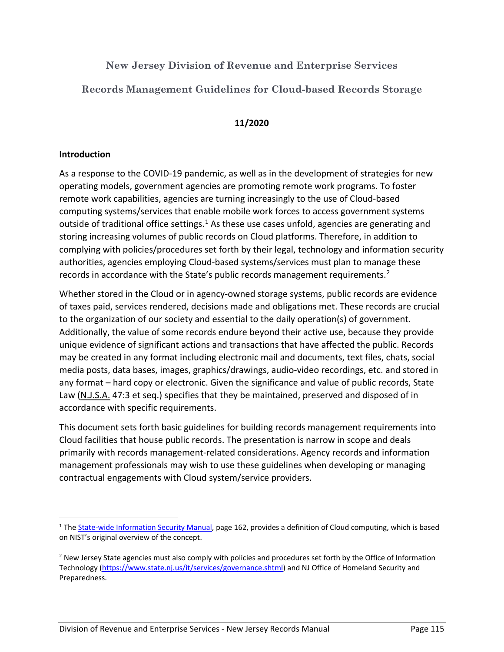**New Jersey Division of Revenue and Enterprise Services**

**Records Management Guidelines for Cloud-based Records Storage**

# **11/2020**

### **Introduction**

As a response to the COVID-19 pandemic, as well as in the development of strategies for new operating models, government agencies are promoting remote work programs. To foster remote work capabilities, agencies are turning increasingly to the use of Cloud-based computing systems/services that enable mobile work forces to access government systems outside of traditional office settings.<sup>1</sup> As these use cases unfold, agencies are generating and storing increasing volumes of public records on Cloud platforms. Therefore, in addition to complying with policies/procedures set forth by their legal, technology and information security authorities, agencies employing Cloud-based systems/services must plan to manage these records in accordance with the State's public records management requirements.<sup>2</sup>

Whether stored in the Cloud or in agency-owned storage systems, public records are evidence of taxes paid, services rendered, decisions made and obligations met. These records are crucial to the organization of our society and essential to the daily operation(s) of government. Additionally, the value of some records endure beyond their active use, because they provide unique evidence of significant actions and transactions that have affected the public. Records may be created in any format including electronic mail and documents, text files, chats, social media posts, data bases, images, graphics/drawings, audio-video recordings, etc. and stored in any format – hard copy or electronic. Given the significance and value of public records, State Law (N.J.S.A. 47:3 et seq.) specifies that they be maintained, preserved and disposed of in accordance with specific requirements.

This document sets forth basic guidelines for building records management requirements into Cloud facilities that house public records. The presentation is narrow in scope and deals primarily with records management-related considerations. Agency records and information management professionals may wish to use these guidelines when developing or managing contractual engagements with Cloud system/service providers.

<sup>&</sup>lt;sup>1</sup> The State-wide Information Security Manual, page 162, provides a definition of Cloud computing, which is based on NIST's original overview of the concept.

<sup>&</sup>lt;sup>2</sup> New Jersey State agencies must also comply with policies and procedures set forth by the Office of Information Technology (https://www.state.nj.us/it/services/governance.shtml) and NJ Office of Homeland Security and Preparedness.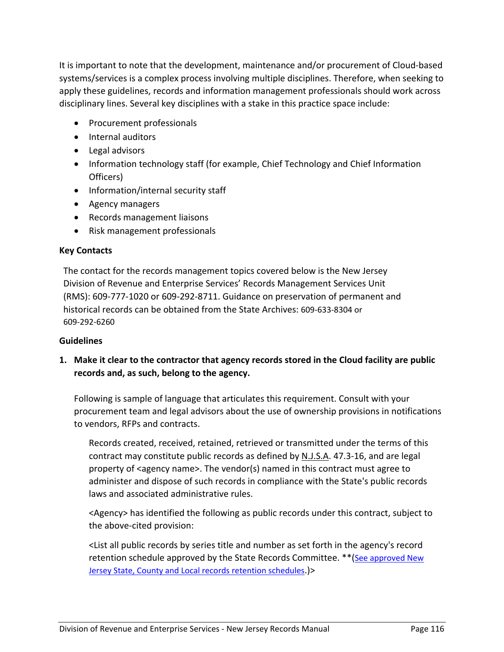It is important to note that the development, maintenance and/or procurement of Cloud-based systems/services is a complex process involving multiple disciplines. Therefore, when seeking to apply these guidelines, records and information management professionals should work across disciplinary lines. Several key disciplines with a stake in this practice space include:

- Procurement professionals
- Internal auditors
- Legal advisors
- Information technology staff (for example, Chief Technology and Chief Information Officers)
- Information/internal security staff
- Agency managers
- Records management liaisons
- Risk management professionals

#### **Key Contacts**

The contact for the records management topics covered below is the New Jersey Division of Revenue and Enterprise Services' Records Management Services Unit (RMS): 609-777-1020 or 609-292-8711. Guidance on preservation of permanent and historical records can be obtained from the State Archives: 609-633-8304 or 609-292-6260

#### **Guidelines**

**1. Make it clear to the contractor that agency records stored in the Cloud facility are public records and, as such, belong to the agency.** 

Following is sample of language that articulates this requirement. Consult with your procurement team and legal advisors about the use of ownership provisions in notifications to vendors, RFPs and contracts.

Records created, received, retained, retrieved or transmitted under the terms of this contract may constitute public records as defined by N.J.S.A. 47.3-16, and are legal property of <agency name>. The vendor(s) named in this contract must agree to administer and dispose of such records in compliance with the State's public records laws and associated administrative rules.

<Agency> has identified the following as public records under this contract, subject to the above-cited provision:

<List all public records by series title and number as set forth in the agency's record retention schedule approved by the State Records Committee. \*\*(See approved New Jersey State, County and Local records retention schedules.)>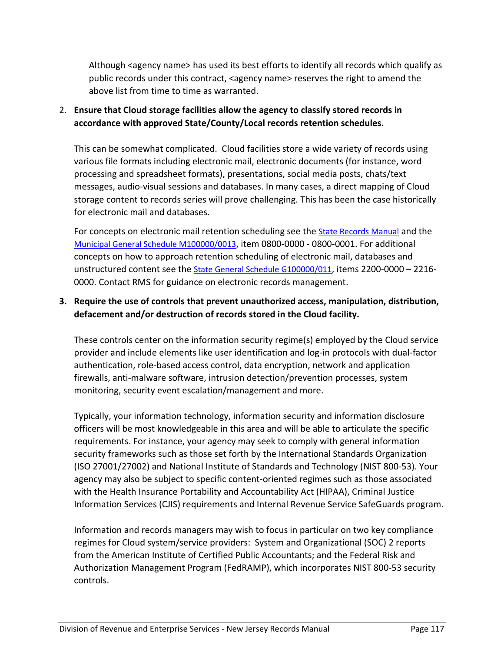Although <agency name> has used its best efforts to identify all records which qualify as public records under this contract, <agency name> reserves the right to amend the above list from time to time as warranted.

# 2. **Ensure that Cloud storage facilities allow the agency to classify stored records in accordance with approved State/County/Local records retention schedules.**

This can be somewhat complicated. Cloud facilities store a wide variety of records using various file formats including electronic mail, electronic documents (for instance, word processing and spreadsheet formats), presentations, social media posts, chats/text messages, audio-visual sessions and databases. In many cases, a direct mapping of Cloud storage content to records series will prove challenging. This has been the case historically for electronic mail and databases.

For concepts on electronic mail retention scheduling see the State Records Manual and the Municipal General Schedule M100000/0013, item 0800-0000 - 0800-0001. For additional concepts on how to approach retention scheduling of electronic mail, databases and unstructured content see the State General Schedule G100000/011, items 2200-0000 – 2216- 0000. Contact RMS for guidance on electronic records management.

# **3. Require the use of controls that prevent unauthorized access, manipulation, distribution, defacement and/or destruction of records stored in the Cloud facility.**

These controls center on the information security regime(s) employed by the Cloud service provider and include elements like user identification and log-in protocols with dual-factor authentication, role-based access control, data encryption, network and application firewalls, anti-malware software, intrusion detection/prevention processes, system monitoring, security event escalation/management and more.

Typically, your information technology, information security and information disclosure officers will be most knowledgeable in this area and will be able to articulate the specific requirements. For instance, your agency may seek to comply with general information security frameworks such as those set forth by the International Standards Organization (ISO 27001/27002) and National Institute of Standards and Technology (NIST 800-53). Your agency may also be subject to specific content-oriented regimes such as those associated with the Health Insurance Portability and Accountability Act (HIPAA), Criminal Justice Information Services (CJIS) requirements and Internal Revenue Service SafeGuards program.

Information and records managers may wish to focus in particular on two key compliance regimes for Cloud system/service providers: System and Organizational (SOC) 2 reports from the American Institute of Certified Public Accountants; and the Federal Risk and Authorization Management Program (FedRAMP), which incorporates NIST 800-53 security controls.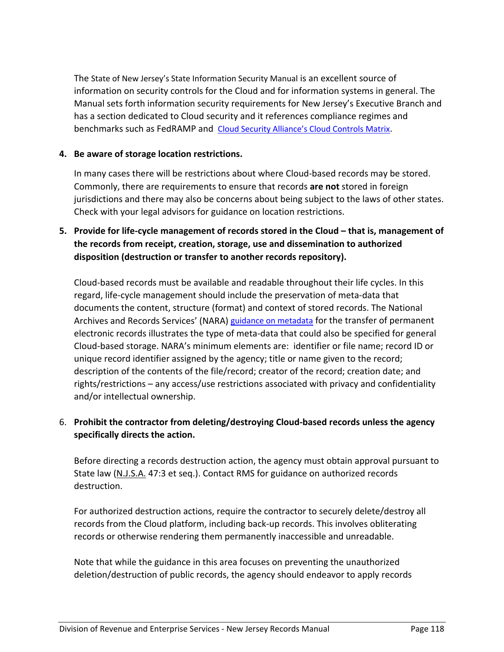The State of New Jersey's State Information Security Manual is an excellent source of information on security controls for the Cloud and for information systems in general. The Manual sets forth information security requirements for New Jersey's Executive Branch and has a section dedicated to Cloud security and it references compliance regimes and benchmarks such as FedRAMP and Cloud Security Alliance's Cloud Controls Matrix.

### **4. Be aware of storage location restrictions.**

In many cases there will be restrictions about where Cloud-based records may be stored. Commonly, there are requirements to ensure that records **are not** stored in foreign jurisdictions and there may also be concerns about being subject to the laws of other states. Check with your legal advisors for guidance on location restrictions.

**5. Provide for life-cycle management of records stored in the Cloud – that is, management of the records from receipt, creation, storage, use and dissemination to authorized disposition (destruction or transfer to another records repository).** 

Cloud-based records must be available and readable throughout their life cycles. In this regard, life-cycle management should include the preservation of meta-data that documents the content, structure (format) and context of stored records. The National Archives and Records Services' (NARA) guidance on metadata for the transfer of permanent electronic records illustrates the type of meta-data that could also be specified for general Cloud-based storage. NARA's minimum elements are: identifier or file name; record ID or unique record identifier assigned by the agency; title or name given to the record; description of the contents of the file/record; creator of the record; creation date; and rights/restrictions – any access/use restrictions associated with privacy and confidentiality and/or intellectual ownership.

### 6. **Prohibit the contractor from deleting/destroying Cloud-based records unless the agency specifically directs the action.**

Before directing a records destruction action, the agency must obtain approval pursuant to State law (N.J.S.A. 47:3 et seq.). Contact RMS for guidance on authorized records destruction.

For authorized destruction actions, require the contractor to securely delete/destroy all records from the Cloud platform, including back-up records. This involves obliterating records or otherwise rendering them permanently inaccessible and unreadable.

Note that while the guidance in this area focuses on preventing the unauthorized deletion/destruction of public records, the agency should endeavor to apply records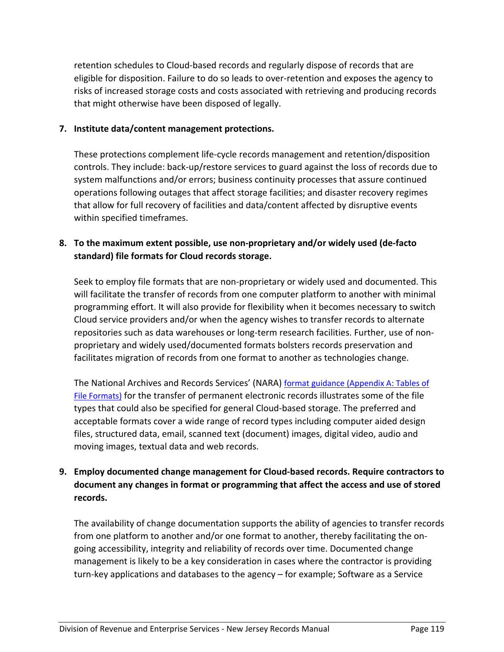retention schedules to Cloud-based records and regularly dispose of records that are eligible for disposition. Failure to do so leads to over-retention and exposes the agency to risks of increased storage costs and costs associated with retrieving and producing records that might otherwise have been disposed of legally.

### **7. Institute data/content management protections.**

These protections complement life-cycle records management and retention/disposition controls. They include: back-up/restore services to guard against the loss of records due to system malfunctions and/or errors; business continuity processes that assure continued operations following outages that affect storage facilities; and disaster recovery regimes that allow for full recovery of facilities and data/content affected by disruptive events within specified timeframes.

### **8. To the maximum extent possible, use non-proprietary and/or widely used (de-facto standard) file formats for Cloud records storage.**

Seek to employ file formats that are non-proprietary or widely used and documented. This will facilitate the transfer of records from one computer platform to another with minimal programming effort. It will also provide for flexibility when it becomes necessary to switch Cloud service providers and/or when the agency wishes to transfer records to alternate repositories such as data warehouses or long-term research facilities. Further, use of nonproprietary and widely used/documented formats bolsters records preservation and facilitates migration of records from one format to another as technologies change.

The National Archives and Records Services' (NARA) format guidance (Appendix A: Tables of File Formats) for the transfer of permanent electronic records illustrates some of the file types that could also be specified for general Cloud-based storage. The preferred and acceptable formats cover a wide range of record types including computer aided design files, structured data, email, scanned text (document) images, digital video, audio and moving images, textual data and web records.

### **9. Employ documented change management for Cloud-based records. Require contractors to document any changes in format or programming that affect the access and use of stored records.**

The availability of change documentation supports the ability of agencies to transfer records from one platform to another and/or one format to another, thereby facilitating the ongoing accessibility, integrity and reliability of records over time. Documented change management is likely to be a key consideration in cases where the contractor is providing turn-key applications and databases to the agency – for example; Software as a Service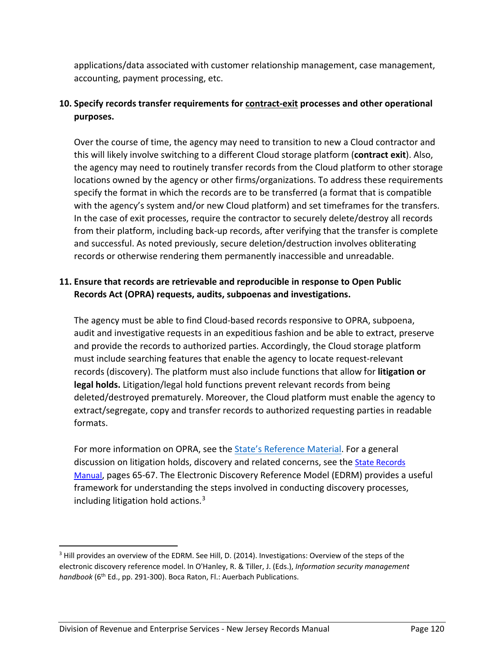applications/data associated with customer relationship management, case management, accounting, payment processing, etc.

# **10. Specify records transfer requirements for contract-exit processes and other operational purposes.**

Over the course of time, the agency may need to transition to new a Cloud contractor and this will likely involve switching to a different Cloud storage platform (**contract exit**). Also, the agency may need to routinely transfer records from the Cloud platform to other storage locations owned by the agency or other firms/organizations. To address these requirements specify the format in which the records are to be transferred (a format that is compatible with the agency's system and/or new Cloud platform) and set timeframes for the transfers. In the case of exit processes, require the contractor to securely delete/destroy all records from their platform, including back-up records, after verifying that the transfer is complete and successful. As noted previously, secure deletion/destruction involves obliterating records or otherwise rendering them permanently inaccessible and unreadable.

# **11. Ensure that records are retrievable and reproducible in response to Open Public Records Act (OPRA) requests, audits, subpoenas and investigations.**

The agency must be able to find Cloud-based records responsive to OPRA, subpoena, audit and investigative requests in an expeditious fashion and be able to extract, preserve and provide the records to authorized parties. Accordingly, the Cloud storage platform must include searching features that enable the agency to locate request-relevant records (discovery). The platform must also include functions that allow for **litigation or legal holds.** Litigation/legal hold functions prevent relevant records from being deleted/destroyed prematurely. Moreover, the Cloud platform must enable the agency to extract/segregate, copy and transfer records to authorized requesting parties in readable formats.

For more information on OPRA, see the State's Reference Material. For a general discussion on litigation holds, discovery and related concerns, see the State Records Manual, pages 65-67. The Electronic Discovery Reference Model (EDRM) provides a useful framework for understanding the steps involved in conducting discovery processes, including litigation hold actions. $3$ 

<sup>&</sup>lt;sup>3</sup> Hill provides an overview of the EDRM. See Hill, D. (2014). Investigations: Overview of the steps of the electronic discovery reference model. In O'Hanley, R. & Tiller, J. (Eds.), *Information security management*  handbook (6<sup>th</sup> Ed., pp. 291-300). Boca Raton, Fl.: Auerbach Publications.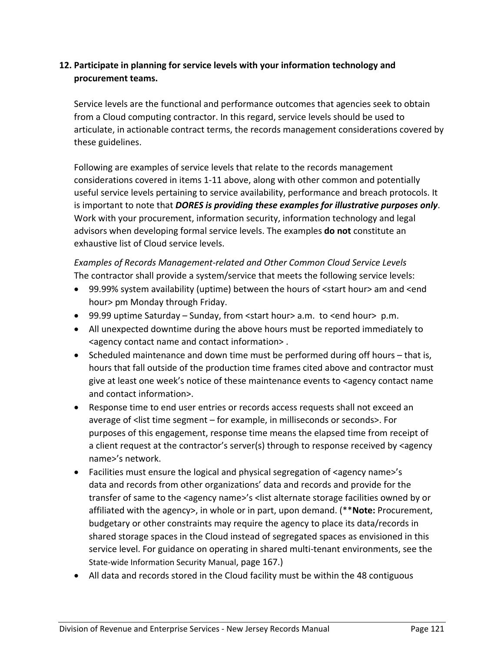# **12. Participate in planning for service levels with your information technology and procurement teams.**

Service levels are the functional and performance outcomes that agencies seek to obtain from a Cloud computing contractor. In this regard, service levels should be used to articulate, in actionable contract terms, the records management considerations covered by these guidelines.

Following are examples of service levels that relate to the records management considerations covered in items 1-11 above, along with other common and potentially useful service levels pertaining to service availability, performance and breach protocols. It is important to note that *DORES is providing these examples for illustrative purposes only*. Work with your procurement, information security, information technology and legal advisors when developing formal service levels. The examples **do not** constitute an exhaustive list of Cloud service levels.

*Examples of Records Management-related and Other Common Cloud Service Levels* The contractor shall provide a system/service that meets the following service levels:

- 99.99% system availability (uptime) between the hours of <start hour> am and <end hour> pm Monday through Friday.
- 99.99 uptime Saturday Sunday, from <start hour> a.m. to <end hour> p.m.
- All unexpected downtime during the above hours must be reported immediately to <agency contact name and contact information> .
- Scheduled maintenance and down time must be performed during off hours that is, hours that fall outside of the production time frames cited above and contractor must give at least one week's notice of these maintenance events to <agency contact name and contact information>.
- Response time to end user entries or records access requests shall not exceed an average of <list time segment – for example, in milliseconds or seconds>. For purposes of this engagement, response time means the elapsed time from receipt of a client request at the contractor's server(s) through to response received by <agency name>'s network.
- Facilities must ensure the logical and physical segregation of <agency name>'s data and records from other organizations' data and records and provide for the transfer of same to the <agency name>'s <list alternate storage facilities owned by or affiliated with the agency>, in whole or in part, upon demand. (\*\***Note:** Procurement, budgetary or other constraints may require the agency to place its data/records in shared storage spaces in the Cloud instead of segregated spaces as envisioned in this service level. For guidance on operating in shared multi-tenant environments, see the State-wide Information Security Manual, page 167.)
- All data and records stored in the Cloud facility must be within the 48 contiguous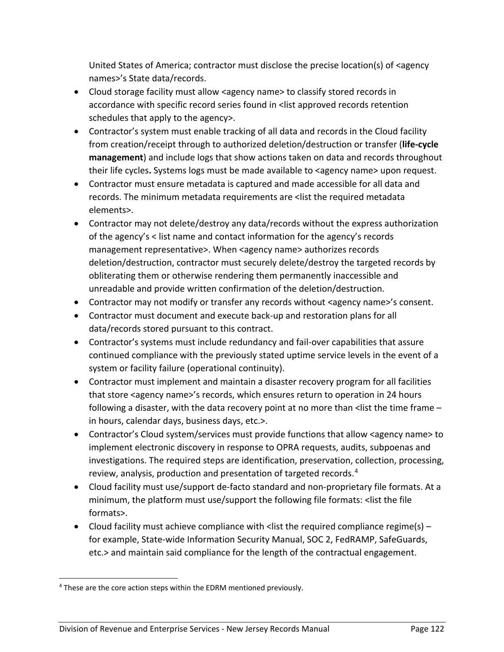United States of America; contractor must disclose the precise location(s) of <agency names>'s State data/records.

- Cloud storage facility must allow <agency name> to classify stored records in accordance with specific record series found in <list approved records retention schedules that apply to the agency>.
- Contractor's system must enable tracking of all data and records in the Cloud facility from creation/receipt through to authorized deletion/destruction or transfer (**life-cycle management**) and include logs that show actions taken on data and records throughout their life cycles. Systems logs must be made available to <agency name> upon request.
- Contractor must ensure metadata is captured and made accessible for all data and records. The minimum metadata requirements are <list the required metadata elements>.
- Contractor may not delete/destroy any data/records without the express authorization of the agency's < list name and contact information for the agency's records management representative>. When <agency name> authorizes records deletion/destruction, contractor must securely delete/destroy the targeted records by obliterating them or otherwise rendering them permanently inaccessible and unreadable and provide written confirmation of the deletion/destruction.
- Contractor may not modify or transfer any records without <agency name>'s consent.
- Contractor must document and execute back-up and restoration plans for all data/records stored pursuant to this contract.
- Contractor's systems must include redundancy and fail-over capabilities that assure continued compliance with the previously stated uptime service levels in the event of a system or facility failure (operational continuity).
- Contractor must implement and maintain a disaster recovery program for all facilities that store <agency name>'s records, which ensures return to operation in 24 hours following a disaster, with the data recovery point at no more than <list the time frame – in hours, calendar days, business days, etc.>.
- Contractor's Cloud system/services must provide functions that allow <agency name> to implement electronic discovery in response to OPRA requests, audits, subpoenas and investigations. The required steps are identification, preservation, collection, processing, review, analysis, production and presentation of targeted records.<sup>4</sup>
- Cloud facility must use/support de-facto standard and non-proprietary file formats. At a minimum, the platform must use/support the following file formats: <list the file formats>.
- Cloud facility must achieve compliance with < list the required compliance regime(s) for example, State-wide Information Security Manual, SOC 2, FedRAMP, SafeGuards, etc.> and maintain said compliance for the length of the contractual engagement.

<sup>&</sup>lt;sup>4</sup> These are the core action steps within the EDRM mentioned previously.